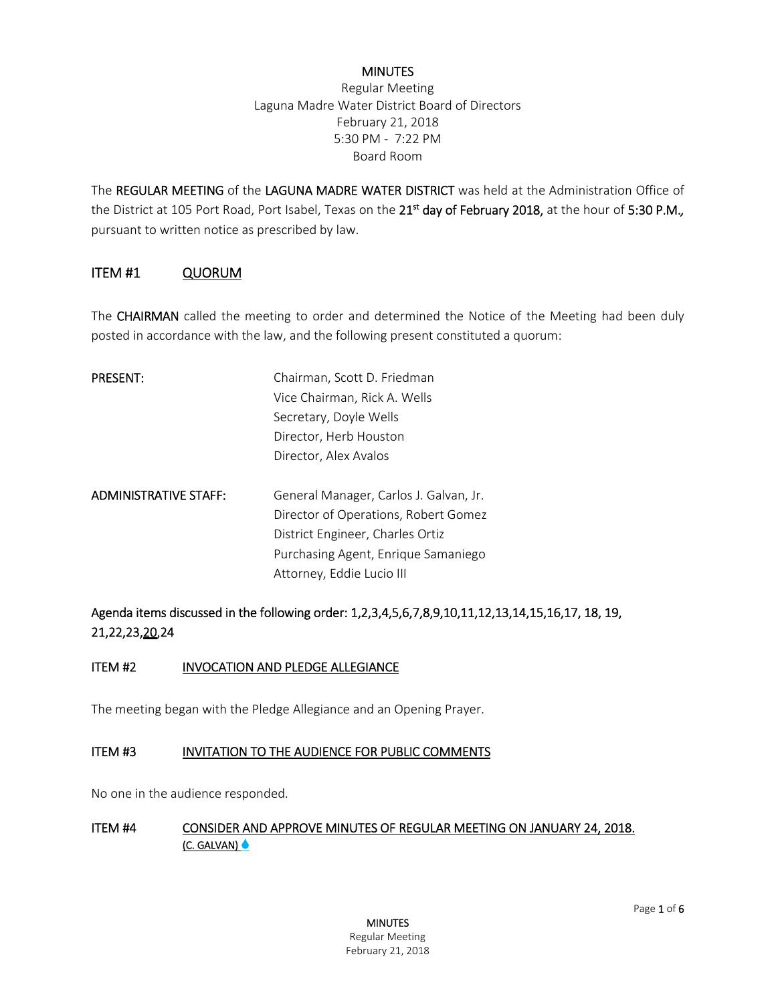#### **MINUTES**

Regular Meeting Laguna Madre Water District Board of Directors February 21, 2018 5:30 PM - 7:22 PM Board Room

The REGULAR MEETING of the LAGUNA MADRE WATER DISTRICT was held at the Administration Office of the District at 105 Port Road, Port Isabel, Texas on the 21st day of February 2018, at the hour of 5:30 P.M.*,* pursuant to written notice as prescribed by law.

#### ITEM #1 QUORUM

The **CHAIRMAN** called the meeting to order and determined the Notice of the Meeting had been duly posted in accordance with the law, and the following present constituted a quorum:

| <b>PRESENT:</b>              | Chairman, Scott D. Friedman            |
|------------------------------|----------------------------------------|
|                              | Vice Chairman, Rick A. Wells           |
|                              | Secretary, Doyle Wells                 |
|                              | Director, Herb Houston                 |
|                              | Director, Alex Avalos                  |
| <b>ADMINISTRATIVE STAFF:</b> | General Manager, Carlos J. Galvan, Jr. |
|                              | Director of Operations, Robert Gomez   |
|                              | District Engineer, Charles Ortiz       |
|                              | Purchasing Agent, Enrique Samaniego    |
|                              | Attorney, Eddie Lucio III              |

# Agenda items discussed in the following order: 1,2,3,4,5,6,7,8,9,10,11,12,13,14,15,16,17, 18, 19, 21,22,23,20,24

#### ITEM #2 INVOCATION AND PLEDGE ALLEGIANCE

The meeting began with the Pledge Allegiance and an Opening Prayer.

#### ITEM #3 INVITATION TO THE AUDIENCE FOR PUBLIC COMMENTS

No one in the audience responded.

#### ITEM #4 CONSIDER AND APPROVE MINUTES OF REGULAR MEETING ON JANUARY 24, 2018. (C. GALVAN)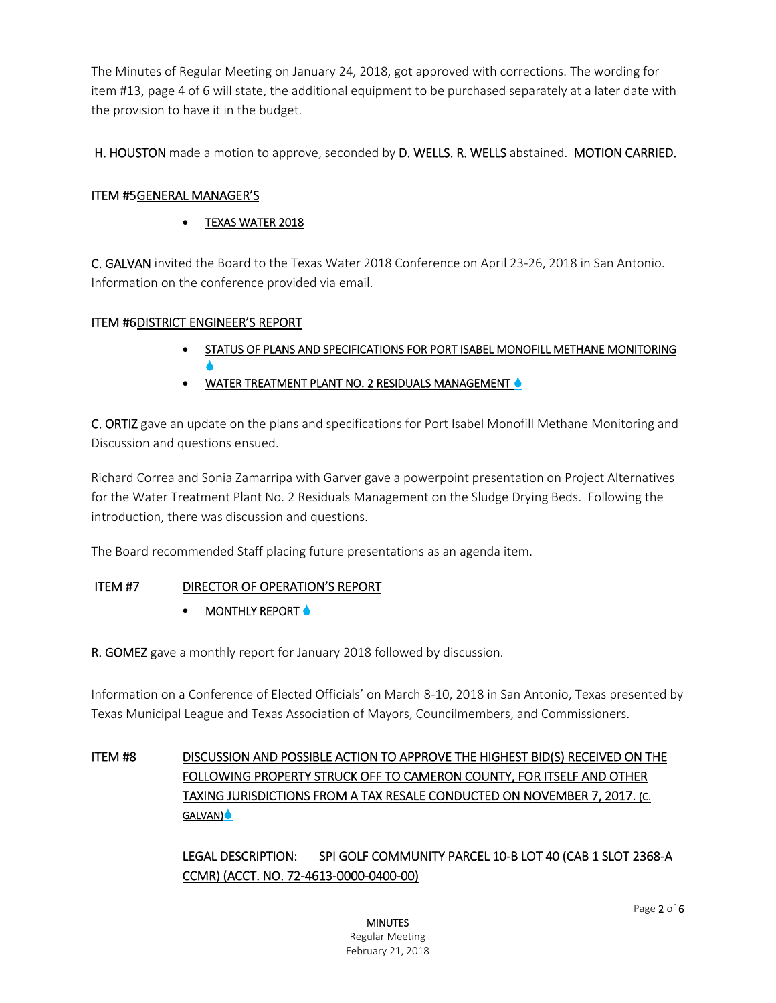The Minutes of Regular Meeting on January 24, 2018, got approved with corrections. The wording for item #13, page 4 of 6 will state, the additional equipment to be purchased separately at a later date with the provision to have it in the budget.

H. HOUSTON made a motion to approve, seconded by D. WELLS. R. WELLS abstained. MOTION CARRIED.

# ITEM #5 GENERAL MANAGER'S

# TEXAS WATER 2018

C. GALVAN invited the Board to the Texas Water 2018 Conference on April 23-26, 2018 in San Antonio. Information on the conference provided via email.

## ITEM #6DISTRICT ENGINEER'S REPORT

- STATUS OF PLANS AND SPECIFICATIONS FOR PORT ISABEL MONOFILL METHANE MONITORING  $\blacklozenge$
- WATER TREATMENT PLANT NO. 2 RESIDUALS MANAGEMENT

C. ORTIZ gave an update on the plans and specifications for Port Isabel Monofill Methane Monitoring and Discussion and questions ensued.

Richard Correa and Sonia Zamarripa with Garver gave a powerpoint presentation on Project Alternatives for the Water Treatment Plant No. 2 Residuals Management on the Sludge Drying Beds. Following the introduction, there was discussion and questions.

The Board recommended Staff placing future presentations as an agenda item.

# ITEM #7 DIRECTOR OF OPERATION'S REPORT

MONTHLY REPORT  $\triangle$ 

R. GOMEZ gave a monthly report for January 2018 followed by discussion.

Information on a Conference of Elected Officials' on March 8-10, 2018 in San Antonio, Texas presented by Texas Municipal League and Texas Association of Mayors, Councilmembers, and Commissioners.

# ITEM #8 DISCUSSION AND POSSIBLE ACTION TO APPROVE THE HIGHEST BID(S) RECEIVED ON THE FOLLOWING PROPERTY STRUCK OFF TO CAMERON COUNTY, FOR ITSELF AND OTHER TAXING JURISDICTIONS FROM A TAX RESALE CONDUCTED ON NOVEMBER 7, 2017. (C. GALVAN)

LEGAL DESCRIPTION: SPI GOLF COMMUNITY PARCEL 10-B LOT 40 (CAB 1 SLOT 2368-A CCMR) (ACCT. NO. 72-4613-0000-0400-00)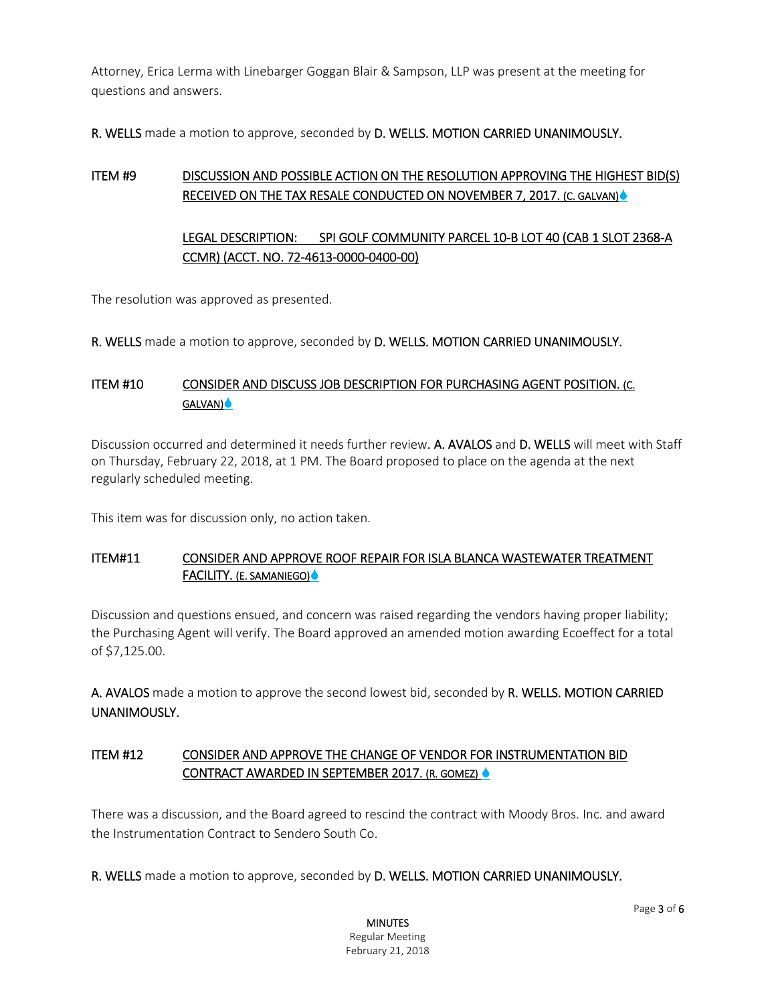Attorney, Erica Lerma with Linebarger Goggan Blair & Sampson, LLP was present at the meeting for questions and answers.

R. WELLS made a motion to approve, seconded by D. WELLS. MOTION CARRIED UNANIMOUSLY.

# ITEM #9 DISCUSSION AND POSSIBLE ACTION ON THE RESOLUTION APPROVING THE HIGHEST BID(S) RECEIVED ON THE TAX RESALE CONDUCTED ON NOVEMBER 7, 2017. (C. GALVAN)

# LEGAL DESCRIPTION: SPI GOLF COMMUNITY PARCEL 10-B LOT 40 (CAB 1 SLOT 2368-A CCMR) (ACCT. NO. 72-4613-0000-0400-00)

The resolution was approved as presented.

R. WELLS made a motion to approve, seconded by D. WELLS. MOTION CARRIED UNANIMOUSLY.

# ITEM #10 CONSIDER AND DISCUSS JOB DESCRIPTION FOR PURCHASING AGENT POSITION. (C. GALVAN)

Discussion occurred and determined it needs further review. A. AVALOS and D. WELLS will meet with Staff on Thursday, February 22, 2018, at 1 PM. The Board proposed to place on the agenda at the next regularly scheduled meeting.

This item was for discussion only, no action taken.

## ITEM#11 CONSIDER AND APPROVE ROOF REPAIR FOR ISLA BLANCA WASTEWATER TREATMENT FACILITY. (E. SAMANIEGO)

Discussion and questions ensued, and concern was raised regarding the vendors having proper liability; the Purchasing Agent will verify. The Board approved an amended motion awarding Ecoeffect for a total of \$7,125.00.

A. AVALOS made a motion to approve the second lowest bid, seconded by R. WELLS. MOTION CARRIED UNANIMOUSLY.

# ITEM #12 CONSIDER AND APPROVE THE CHANGE OF VENDOR FOR INSTRUMENTATION BID CONTRACT AWARDED IN SEPTEMBER 2017. (R. GOMEZ)

There was a discussion, and the Board agreed to rescind the contract with Moody Bros. Inc. and award the Instrumentation Contract to Sendero South Co.

R. WELLS made a motion to approve, seconded by D. WELLS. MOTION CARRIED UNANIMOUSLY.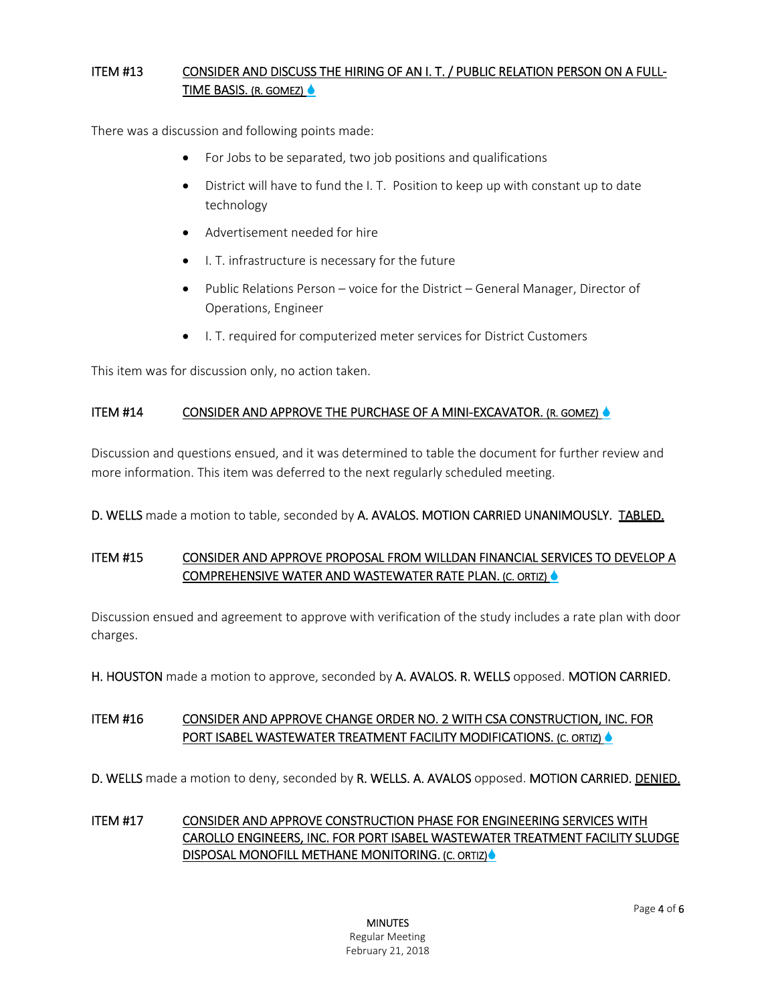## ITEM #13 CONSIDER AND DISCUSS THE HIRING OF AN I. T. / PUBLIC RELATION PERSON ON A FULL-TIME BASIS. (R. GOMEZ)

There was a discussion and following points made:

- For Jobs to be separated, two job positions and qualifications
- District will have to fund the I. T. Position to keep up with constant up to date technology
- Advertisement needed for hire
- I. T. infrastructure is necessary for the future
- Public Relations Person voice for the District General Manager, Director of Operations, Engineer
- I. T. required for computerized meter services for District Customers

This item was for discussion only, no action taken.

#### ITEM #14 CONSIDER AND APPROVE THE PURCHASE OF A MINI-EXCAVATOR. (R. GOMEZ)

Discussion and questions ensued, and it was determined to table the document for further review and more information. This item was deferred to the next regularly scheduled meeting.

D. WELLS made a motion to table, seconded by A. AVALOS. MOTION CARRIED UNANIMOUSLY. TABLED.

# ITEM #15 CONSIDER AND APPROVE PROPOSAL FROM WILLDAN FINANCIAL SERVICES TO DEVELOP A COMPREHENSIVE WATER AND WASTEWATER RATE PLAN. (C. ORTIZ)

Discussion ensued and agreement to approve with verification of the study includes a rate plan with door charges.

H. HOUSTON made a motion to approve, seconded by A. AVALOS. R. WELLS opposed. MOTION CARRIED.

## ITEM #16 CONSIDER AND APPROVE CHANGE ORDER NO. 2 WITH CSA CONSTRUCTION, INC. FOR PORT ISABEL WASTEWATER TREATMENT FACILITY MODIFICATIONS. (C. ORTIZ) &

D. WELLS made a motion to deny, seconded by R. WELLS. A. AVALOS opposed. MOTION CARRIED. DENIED.

## ITEM #17 CONSIDER AND APPROVE CONSTRUCTION PHASE FOR ENGINEERING SERVICES WITH CAROLLO ENGINEERS, INC. FOR PORT ISABEL WASTEWATER TREATMENT FACILITY SLUDGE DISPOSAL MONOFILL METHANE MONITORING. (C. ORTIZ)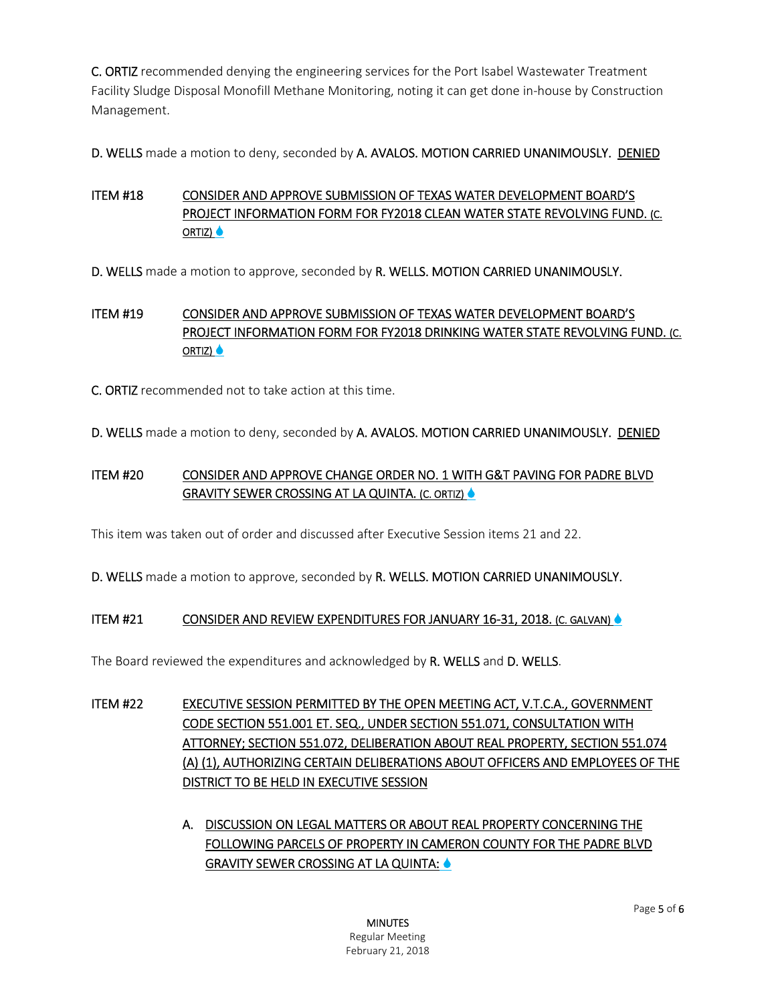C. ORTIZ recommended denying the engineering services for the Port Isabel Wastewater Treatment Facility Sludge Disposal Monofill Methane Monitoring, noting it can get done in-house by Construction Management.

D. WELLS made a motion to deny, seconded by A. AVALOS. MOTION CARRIED UNANIMOUSLY. DENIED

# ITEM #18 CONSIDER AND APPROVE SUBMISSION OF TEXAS WATER DEVELOPMENT BOARD'S PROJECT INFORMATION FORM FOR FY2018 CLEAN WATER STATE REVOLVING FUND. (C. ORTIZ)  $\triangle$

D. WELLS made a motion to approve, seconded by R. WELLS. MOTION CARRIED UNANIMOUSLY.

# ITEM #19 CONSIDER AND APPROVE SUBMISSION OF TEXAS WATER DEVELOPMENT BOARD'S PROJECT INFORMATION FORM FOR FY2018 DRINKING WATER STATE REVOLVING FUND. (C. ORTIZ) ●

C. ORTIZ recommended not to take action at this time.

D. WELLS made a motion to deny, seconded by A. AVALOS. MOTION CARRIED UNANIMOUSLY. DENIED

# ITEM #20 CONSIDER AND APPROVE CHANGE ORDER NO. 1 WITH G&T PAVING FOR PADRE BLVD GRAVITY SEWER CROSSING AT LA QUINTA. (C. ORTIZ) ●

This item was taken out of order and discussed after Executive Session items 21 and 22.

D. WELLS made a motion to approve, seconded by R. WELLS. MOTION CARRIED UNANIMOUSLY.

## ITEM #21 CONSIDER AND REVIEW EXPENDITURES FOR JANUARY 16-31, 2018. (C. GALVAN)

The Board reviewed the expenditures and acknowledged by R. WELLS and D. WELLS.

- ITEM #22 EXECUTIVE SESSION PERMITTED BY THE OPEN MEETING ACT, V.T.C.A., GOVERNMENT CODE SECTION 551.001 ET. SEQ., UNDER SECTION 551.071, CONSULTATION WITH ATTORNEY; SECTION 551.072, DELIBERATION ABOUT REAL PROPERTY, SECTION 551.074 (A) (1), AUTHORIZING CERTAIN DELIBERATIONS ABOUT OFFICERS AND EMPLOYEES OF THE DISTRICT TO BE HELD IN EXECUTIVE SESSION
	- A. DISCUSSION ON LEGAL MATTERS OR ABOUT REAL PROPERTY CONCERNING THE FOLLOWING PARCELS OF PROPERTY IN CAMERON COUNTY FOR THE PADRE BLVD GRAVITY SEWER CROSSING AT LA QUINTA: